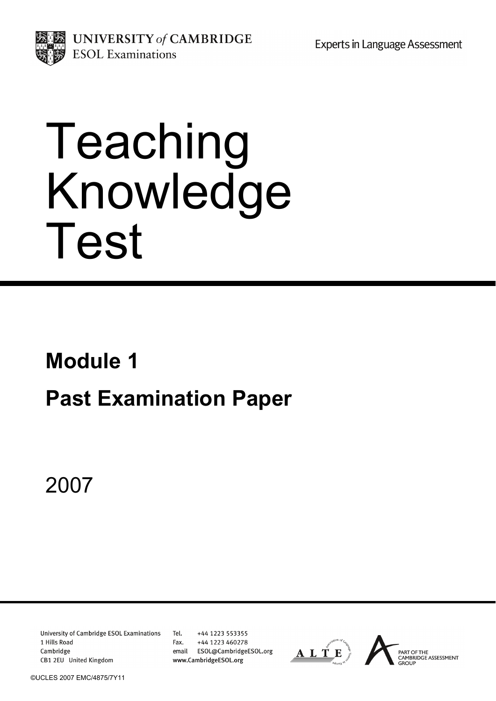**Experts in Language Assessment** 



UNIVERSITY of CAMBRIDGE **ESOL** Examinations

# Teaching Knowledge Test

# **Module 1**

# **Past Examination Paper**

2007

**University of Cambridge ESOL Examinations** 1 Hills Road Cambridge CB1 2EU United Kingdom

Tel. +44 1223 553355 Fax. +44 1223 460278 email ESOL@CambridgeESOL.org www.CambridgeESOL.org

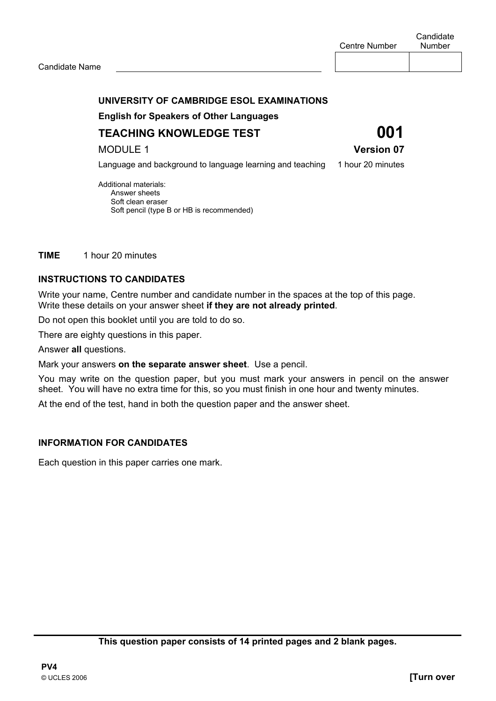#### **UNIVERSITY OF CAMBRIDGE ESOL EXAMINATIONS**

 **English for Speakers of Other Languages** 

**TEACHING KNOWLEDGE TEST 001** 

MODULE 1 **Version 07** 

Language and background to language learning and teaching 1 hour 20 minutes

Additional materials: Answer sheets Soft clean eraser Soft pencil (type B or HB is recommended)

**TIME** 1 hour 20 minutes

#### **INSTRUCTIONS TO CANDIDATES**

Write your name, Centre number and candidate number in the spaces at the top of this page. Write these details on your answer sheet **if they are not already printed**.

Do not open this booklet until you are told to do so.

There are eighty questions in this paper.

Answer **all** questions.

Mark your answers **on the separate answer sheet**. Use a pencil.

You may write on the question paper, but you must mark your answers in pencil on the answer sheet. You will have no extra time for this, so you must finish in one hour and twenty minutes.

At the end of the test, hand in both the question paper and the answer sheet.

#### **INFORMATION FOR CANDIDATES**

Each question in this paper carries one mark.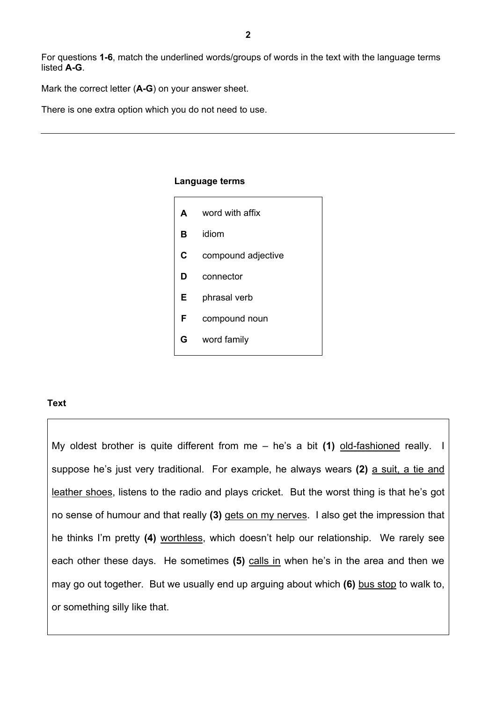For questions **1-6**, match the underlined words/groups of words in the text with the language terms listed **A-G**.

Mark the correct letter (**A-G**) on your answer sheet.

There is one extra option which you do not need to use.

#### **Language terms**

| A | word with affix    |
|---|--------------------|
| в | idiom              |
| C | compound adjective |
| D | connector          |
| Е | phrasal verb       |
| F | compound noun      |
| G | word family        |

#### **Text**

My oldest brother is quite different from me – he's a bit **(1)** old-fashioned really. I suppose he's just very traditional. For example, he always wears **(2)** a suit, a tie and leather shoes, listens to the radio and plays cricket. But the worst thing is that he's got no sense of humour and that really **(3)** gets on my nerves. I also get the impression that he thinks I'm pretty **(4)** worthless, which doesn't help our relationship. We rarely see each other these days. He sometimes **(5)** calls in when he's in the area and then we may go out together. But we usually end up arguing about which **(6)** bus stop to walk to, or something silly like that.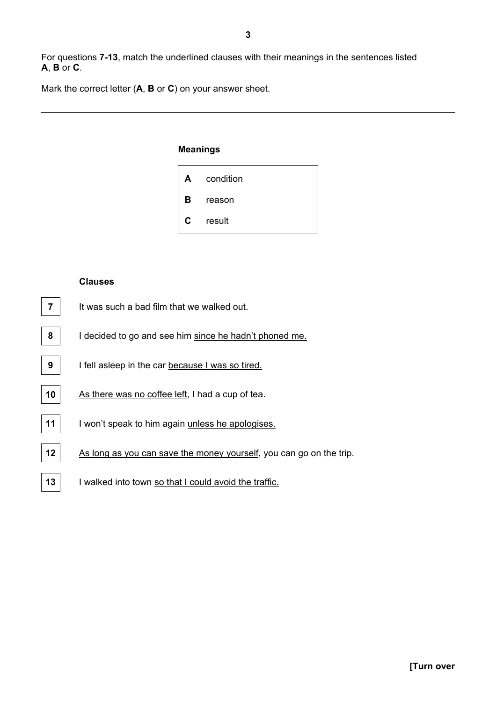For questions **7-13**, match the underlined clauses with their meanings in the sentences listed **A**, **B** or **C**.

Mark the correct letter (**A**, **B** or **C**) on your answer sheet.

#### **Meanings**



#### **Clauses**

- **7** It was such a bad film that we walked out.
- **8** I decided to go and see him since he hadn't phoned me.
- **9 I** fell asleep in the car because I was so tired.
- 10 | As there was no coffee left, I had a cup of tea.
- **11** I won't speak to him again unless he apologises.
- **12** As long as you can save the money yourself, you can go on the trip.
- **13** I walked into town so that I could avoid the traffic.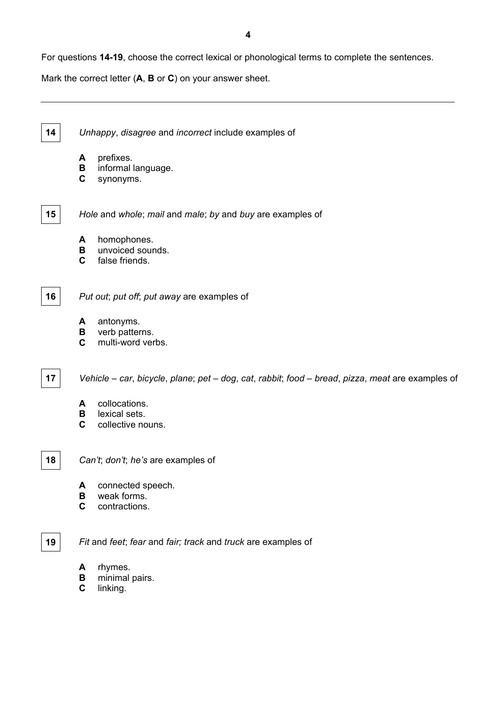For questions **14-19**, choose the correct lexical or phonological terms to complete the sentences.

Mark the correct letter (**A**, **B** or **C**) on your answer sheet.

**14** *Unhappy*, *disagree* and *incorrect* include examples of

- **A** prefixes.
- **B** informal language.
- **C** synonyms.
- 

**15** *Hole* and *whole*; *mail* and *male*; *by* and *buy* are examples of

- **A** homophones.
- **B** unvoiced sounds.
- **C** false friends.

**16** *Put out*; *put off*; *put away* are examples of

- **A** antonyms.
- **B** verb patterns.
- **C** multi-word verbs.

**17** *Vehicle* – *car*, *bicycle*, *plane*; *pet* – *dog*, *cat*, *rabbit*; *food* – *bread*, *pizza*, *meat* are examples of

- **A** collocations.
- **B** lexical sets.<br>**C** collective no
- collective nouns.

**18** *Can't*; *don't*; *he's* are examples of

- **A** connected speech.
- **B** weak forms.
- **C** contractions.

**19** *Fit* and *feet*; *fear* and *fair; track* and *truck* are examples of

- **A** rhymes.
- **B** minimal pairs.
- **C** linking.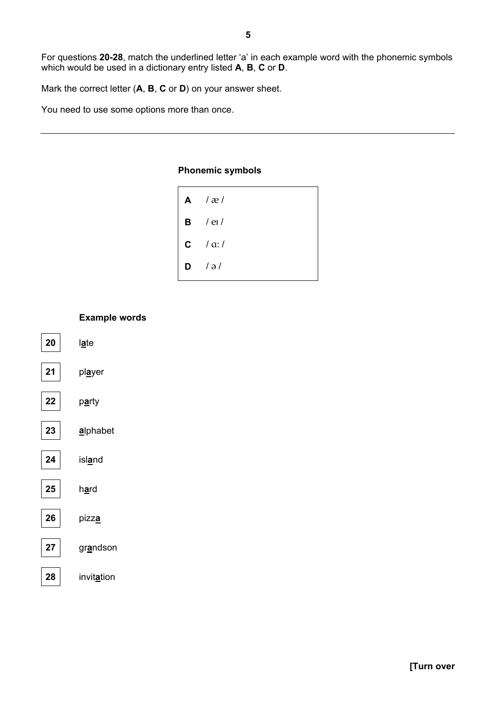For questions 20-28, match the underlined letter 'a' in each example word with the phonemic symbols which would be used in a dictionary entry listed A, B, C or D.

Mark the correct letter (A, B, C or D) on your answer sheet.

You need to use some options more than once.

#### **Phonemic symbols**

| $A \cap \mathcal{R}$ |
|----------------------|
| $B$ / et /           |
| $c$ / a:/            |
| $D / \partial /$     |

### **Example words** 20 late  $21$ player 22 party 23 alphabet 24 island 25 hard 26 pizza 27 grandson 28 invitation

## **Turn over**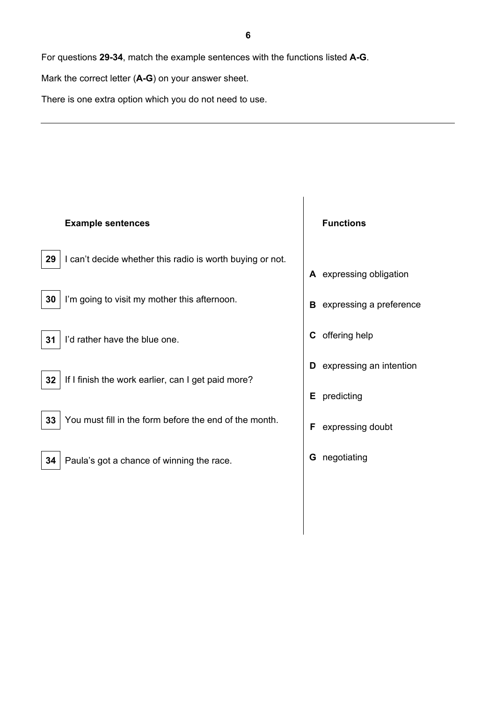For questions **29-34**, match the example sentences with the functions listed **A-G**.

Mark the correct letter (**A-G**) on your answer sheet.

There is one extra option which you do not need to use.

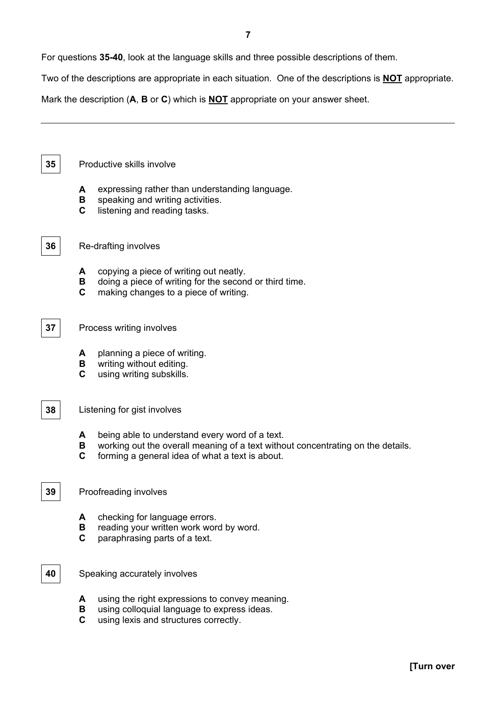For questions **35-40**, look at the language skills and three possible descriptions of them.

Two of the descriptions are appropriate in each situation. One of the descriptions is **NOT** appropriate.

Mark the description (**A**, **B** or **C**) which is **NOT** appropriate on your answer sheet.

**35** Productive skills involve

- **A** expressing rather than understanding language.
- **B** speaking and writing activities.
- **C** listening and reading tasks.

#### **36** Re-drafting involves

- **A** copying a piece of writing out neatly.
- **B** doing a piece of writing for the second or third time.
- **C** making changes to a piece of writing.
- **37** Process writing involves
	- **A** planning a piece of writing.
	- **B** writing without editing.
	- **C** using writing subskills.

#### **38** Listening for gist involves

- **A** being able to understand every word of a text.
- **B** working out the overall meaning of a text without concentrating on the details.
- **C** forming a general idea of what a text is about.

#### **39** Proofreading involves

- **A** checking for language errors.
- **B** reading your written work word by word.
- **C** paraphrasing parts of a text.
- **40** Speaking accurately involves
	- **A** using the right expressions to convey meaning.
	- **B** using colloquial language to express ideas.
	- **C** using lexis and structures correctly.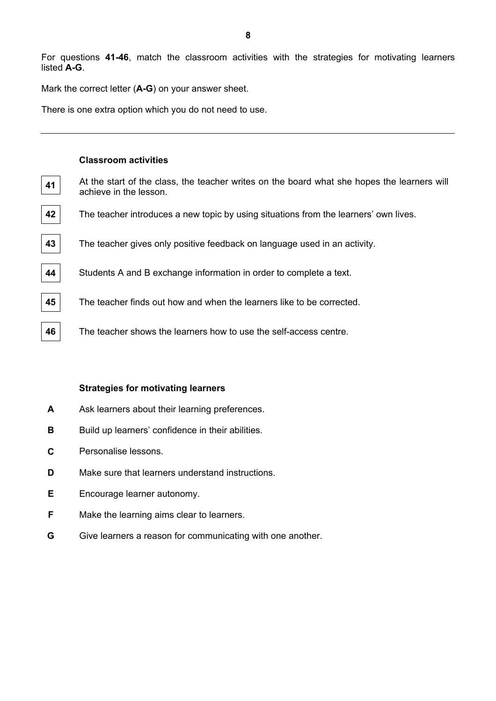For questions **41-46**, match the classroom activities with the strategies for motivating learners listed **A-G**.

Mark the correct letter (**A-G**) on your answer sheet.

There is one extra option which you do not need to use.

#### **Classroom activities**

- **41** At the start of the class, the teacher writes on the board what she hopes the learners will achieve in the lesson.
- **42** The teacher introduces a new topic by using situations from the learners' own lives.
- **43** The teacher gives only positive feedback on language used in an activity.
- **44** Students A and B exchange information in order to complete a text.
- **45** The teacher finds out how and when the learners like to be corrected.
- **46** The teacher shows the learners how to use the self-access centre.

#### **Strategies for motivating learners**

- **A** Ask learners about their learning preferences.
- **B** Build up learners' confidence in their abilities.
- **C** Personalise lessons.
- **D** Make sure that learners understand instructions.
- **E** Encourage learner autonomy.
- **F** Make the learning aims clear to learners.
- **G** Give learners a reason for communicating with one another.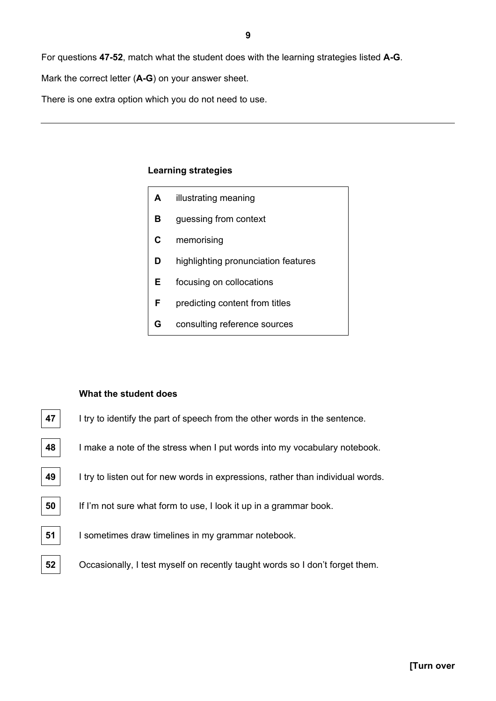For questions **47-52**, match what the student does with the learning strategies listed **A-G**.

Mark the correct letter (**A-G**) on your answer sheet.

There is one extra option which you do not need to use.

#### **Learning strategies**

| A  | illustrating meaning                |  |  |
|----|-------------------------------------|--|--|
| в  | guessing from context               |  |  |
| C  | memorising                          |  |  |
| D  | highlighting pronunciation features |  |  |
| E. | focusing on collocations            |  |  |
| F  | predicting content from titles      |  |  |
| G  | consulting reference sources        |  |  |
|    |                                     |  |  |

#### **What the student does**

- **47** I try to identify the part of speech from the other words in the sentence.
- **48** I make a note of the stress when I put words into my vocabulary notebook.
- **49** I try to listen out for new words in expressions, rather than individual words.
- **50** If I'm not sure what form to use, I look it up in a grammar book.
- **51** I sometimes draw timelines in my grammar notebook.
- **52**  $\vert$  Occasionally, I test myself on recently taught words so I don't forget them.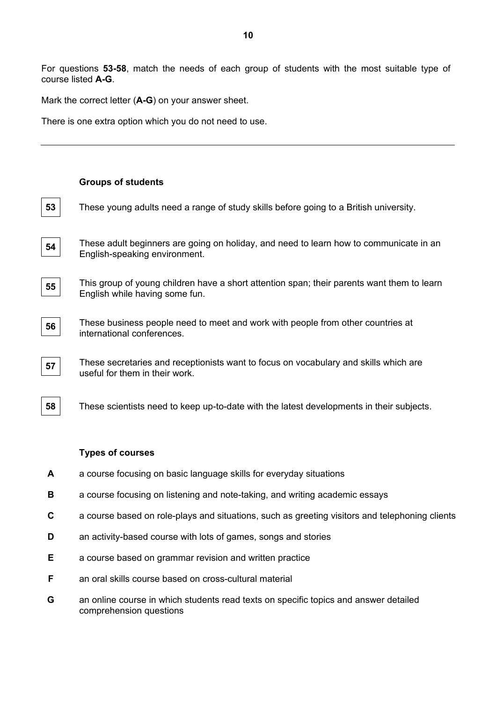For questions **53-58**, match the needs of each group of students with the most suitable type of course listed **A-G**.

Mark the correct letter (**A-G**) on your answer sheet.

There is one extra option which you do not need to use.

|             | <b>Groups of students</b>                                                                                                    |
|-------------|------------------------------------------------------------------------------------------------------------------------------|
| 53          | These young adults need a range of study skills before going to a British university.                                        |
| 54          | These adult beginners are going on holiday, and need to learn how to communicate in an<br>English-speaking environment.      |
| 55          | This group of young children have a short attention span; their parents want them to learn<br>English while having some fun. |
| 56          | These business people need to meet and work with people from other countries at<br>international conferences.                |
| 57          | These secretaries and receptionists want to focus on vocabulary and skills which are<br>useful for them in their work.       |
| 58          | These scientists need to keep up-to-date with the latest developments in their subjects.                                     |
|             | <b>Types of courses</b>                                                                                                      |
|             | a course focusing on basic language skills for everyday situations                                                           |
| A           |                                                                                                                              |
| В           | a course focusing on listening and note-taking, and writing academic essays                                                  |
| $\mathbf c$ | a course based on role-plays and situations, such as greeting visitors and telephoning clients                               |
| D           | an activity-based course with lots of games, songs and stories                                                               |
| Ε           | a course based on grammar revision and written practice                                                                      |

- **F** an oral skills course based on cross-cultural material
- **G** an online course in which students read texts on specific topics and answer detailed comprehension questions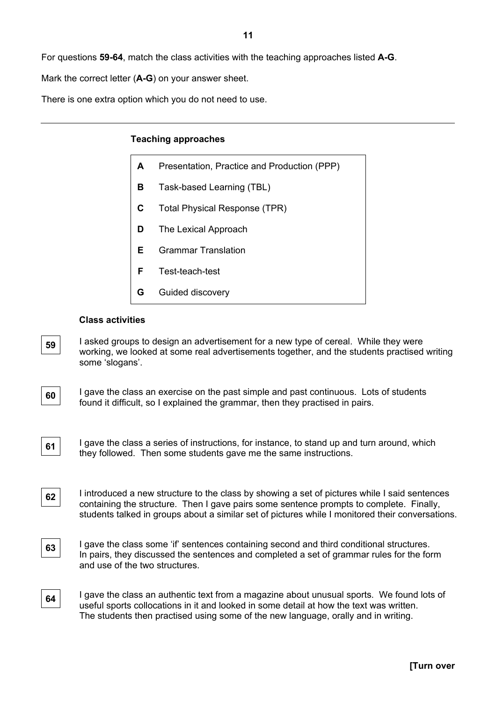For questions **59-64**, match the class activities with the teaching approaches listed **A-G**.

Mark the correct letter (**A-G**) on your answer sheet.

There is one extra option which you do not need to use.

#### **Teaching approaches**

| A | Presentation, Practice and Production (PPP) |  |
|---|---------------------------------------------|--|
| в | Task-based Learning (TBL)                   |  |
| C | Total Physical Response (TPR)               |  |
| D | The Lexical Approach                        |  |
| F | <b>Grammar Translation</b>                  |  |
| F | Test-teach-test                             |  |
| G | Guided discovery                            |  |

#### **Class activities**

**59** I asked groups to design an advertisement for a new type of cereal. While they were working, we looked at some real advertisements together, and the students practised writing some 'slogans'.

**60** I gave the class an exercise on the past simple and past continuous. Lots of students found it difficult, so I explained the grammar, then they practised in pairs.

**61** I gave the class a series of instructions, for instance, to stand up and turn around, which they followed. Then some students gave me the same instructions.

**62** I introduced a new structure to the class by showing a set of pictures while I said sentences containing the structure. Then I gave pairs some sentence prompts to complete. Finally, students talked in groups about a similar set of pictures while I monitored their conversations.

**63** I gave the class some 'if' sentences containing second and third conditional structures. In pairs, they discussed the sentences and completed a set of grammar rules for the form and use of the two structures.

**64** I gave the class an authentic text from a magazine about unusual sports. We found lots of useful sports collocations in it and looked in some detail at how the text was written. The students then practised using some of the new language, orally and in writing.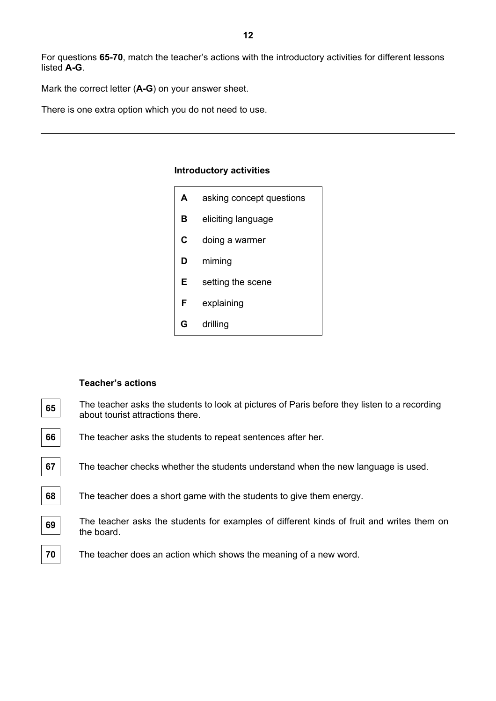For questions **65-70**, match the teacher's actions with the introductory activities for different lessons listed **A-G**.

Mark the correct letter (**A-G**) on your answer sheet.

There is one extra option which you do not need to use.

#### **Introductory activities**

| A | asking concept questions |  |  |
|---|--------------------------|--|--|
| в | eliciting language       |  |  |
| C | doing a warmer           |  |  |
| D | miming                   |  |  |
| Е | setting the scene        |  |  |
| F | explaining               |  |  |
| G | drilling                 |  |  |

#### **Teacher's actions**

The teacher asks the students to look at pictures of Paris before they listen to a recording about tourist attractions there.

The teacher asks the students to repeat sentences after her.

The teacher checks whether the students understand when the new language is used.

The teacher does a short game with the students to give them energy.

The teacher asks the students for examples of different kinds of fruit and writes them on the board.

The teacher does an action which shows the meaning of a new word.

| 65                          |  |
|-----------------------------|--|
| 66                          |  |
| 67                          |  |
| $\overline{\phantom{0}}$ 68 |  |
| ۔<br>69                     |  |
|                             |  |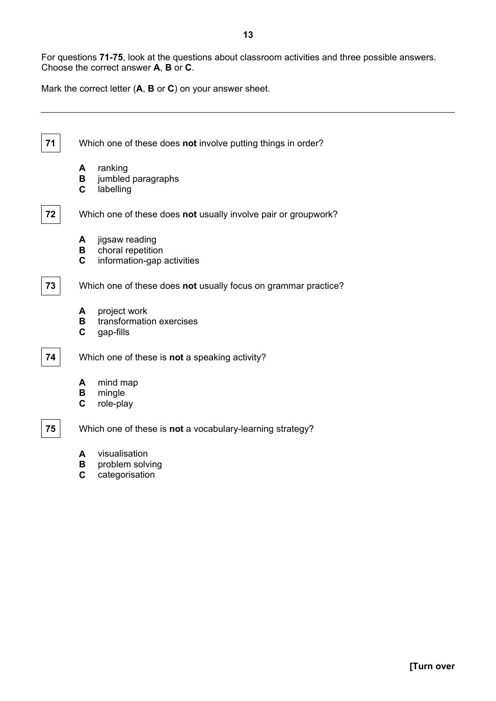Mark the correct letter (**A**, **B** or **C**) on your answer sheet.



- **A** visualisation
- **B** problem solving
- **C** categorisation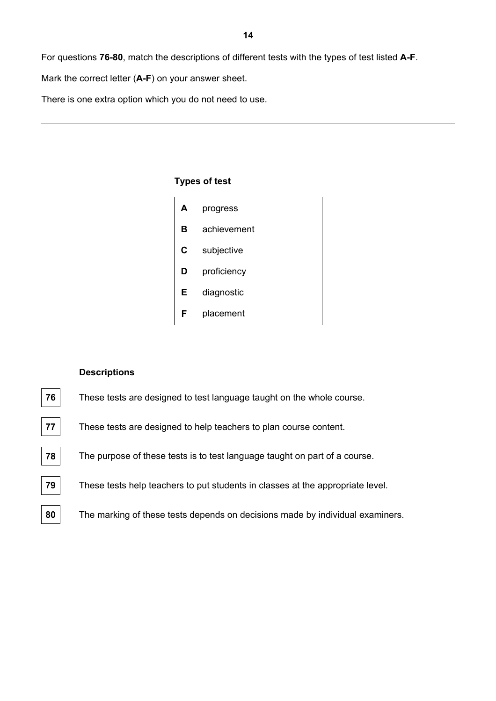For questions **76-80**, match the descriptions of different tests with the types of test listed **A-F**.

Mark the correct letter (**A-F**) on your answer sheet.

There is one extra option which you do not need to use.

#### **Types of test**

| A | progress    |
|---|-------------|
| в | achievement |
| C | subjective  |
| D | proficiency |
| Е | diagnostic  |
| F | placement   |

#### **Descriptions**